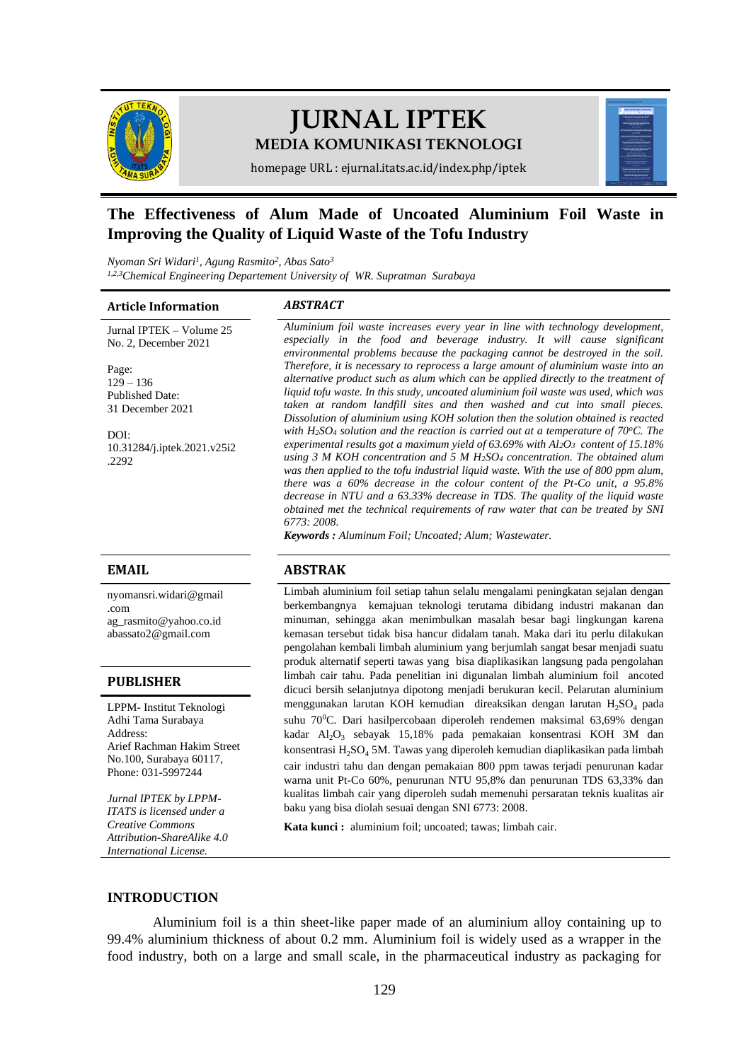

# **JURNAL IPTEK MEDIA KOMUNIKASI TEKNOLOGI**



homepage URL : ejurnal.itats.ac.id/index.php/iptek

# **The Effectiveness of Alum Made of Uncoated Aluminium Foil Waste in Improving the Quality of Liquid Waste of the Tofu Industry**

*Nyoman Sri Widari<sup>1</sup> , Agung Rasmito<sup>2</sup> , Abas Sato<sup>3</sup> 1,2,3Chemical Engineering Departement University of WR. Supratman Surabaya* 

## **Article Information** *ABSTRACT*

Jurnal IPTEK – Volume 25 No. 2, December 2021 Page:  $129 - 136$ Published Date: 31 December 2021

DOI: [10.31284/j.iptek.2021.v25i2](https://doi.org/10.31284/j.iptek.2021.v25i2.2292) [.2292](https://doi.org/10.31284/j.iptek.2021.v25i2.2292)

[nyomansri.widari@gmail](mailto:nyomansri.widari@gmail.com) [.com](mailto:nyomansri.widari@gmail.com) [ag\\_rasmito@yahoo.co.id](mailto:ag_rasmito@yahoo.co.id) [abassato2@gmail.com](mailto:abassato2@gmail.com)

### **PUBLISHER**

LPPM- Institut Teknologi Adhi Tama Surabaya Address: Arief Rachman Hakim Street No.100, Surabaya 60117, Phone: 031-5997244

*Jurnal IPTEK by LPPM-ITATS is licensed under a Creative Commons Attribution-ShareAlike 4.0 International License.*

*Aluminium foil waste increases every year in line with technology development, especially in the food and beverage industry. It will cause significant environmental problems because the packaging cannot be destroyed in the soil. Therefore, it is necessary to reprocess a large amount of aluminium waste into an alternative product such as alum which can be applied directly to the treatment of liquid tofu waste. In this study, uncoated aluminium foil waste was used, which was taken at random landfill sites and then washed and cut into small pieces. Dissolution of aluminium using KOH solution then the solution obtained is reacted with H2SO<sup>4</sup> solution and the reaction is carried out at a temperature of 70<sup>o</sup>C. The experimental results got a maximum yield of 63.69% with Al2O3 content of 15.18% using 3 M KOH concentration and 5 M H2SO<sup>4</sup> concentration. The obtained alum was then applied to the tofu industrial liquid waste. With the use of 800 ppm alum, there was a 60% decrease in the colour content of the Pt-Co unit, a 95.8% decrease in NTU and a 63.33% decrease in TDS. The quality of the liquid waste obtained met the technical requirements of raw water that can be treated by SNI 6773: 2008.*

*Keywords : Aluminum Foil; Uncoated; Alum; Wastewater.*

# **EMAIL ABSTRAK**

Limbah aluminium foil setiap tahun selalu mengalami peningkatan sejalan dengan berkembangnya kemajuan teknologi terutama dibidang industri makanan dan minuman, sehingga akan menimbulkan masalah besar bagi lingkungan karena kemasan tersebut tidak bisa hancur didalam tanah. Maka dari itu perlu dilakukan pengolahan kembali limbah aluminium yang berjumlah sangat besar menjadi suatu produk alternatif seperti tawas yang bisa diaplikasikan langsung pada pengolahan limbah cair tahu. Pada penelitian ini digunalan limbah aluminium foil ancoted dicuci bersih selanjutnya dipotong menjadi berukuran kecil. Pelarutan aluminium menggunakan larutan KOH kemudian direaksikan dengan larutan  $H_2SO_4$  pada suhu 70<sup>0</sup>C. Dari hasilpercobaan diperoleh rendemen maksimal 63,69% dengan kadar Al<sub>2</sub>O<sub>3</sub> sebayak 15,18% pada pemakaian konsentrasi KOH 3M dan konsentrasi H<sub>2</sub>SO<sub>4</sub> 5M. Tawas yang diperoleh kemudian diaplikasikan pada limbah cair industri tahu dan dengan pemakaian 800 ppm tawas terjadi penurunan kadar warna unit Pt-Co 60%, penurunan NTU 95,8% dan penurunan TDS 63,33% dan kualitas limbah cair yang diperoleh sudah memenuhi persaratan teknis kualitas air baku yang bisa diolah sesuai dengan SNI 6773: 2008.

**Kata kunci :** aluminium foil; uncoated; tawas; limbah cair.

# **INTRODUCTION**

Aluminium foil is a thin sheet-like paper made of an aluminium alloy containing up to 99.4% aluminium thickness of about 0.2 mm. Aluminium foil is widely used as a wrapper in the food industry, both on a large and small scale, in the pharmaceutical industry as packaging for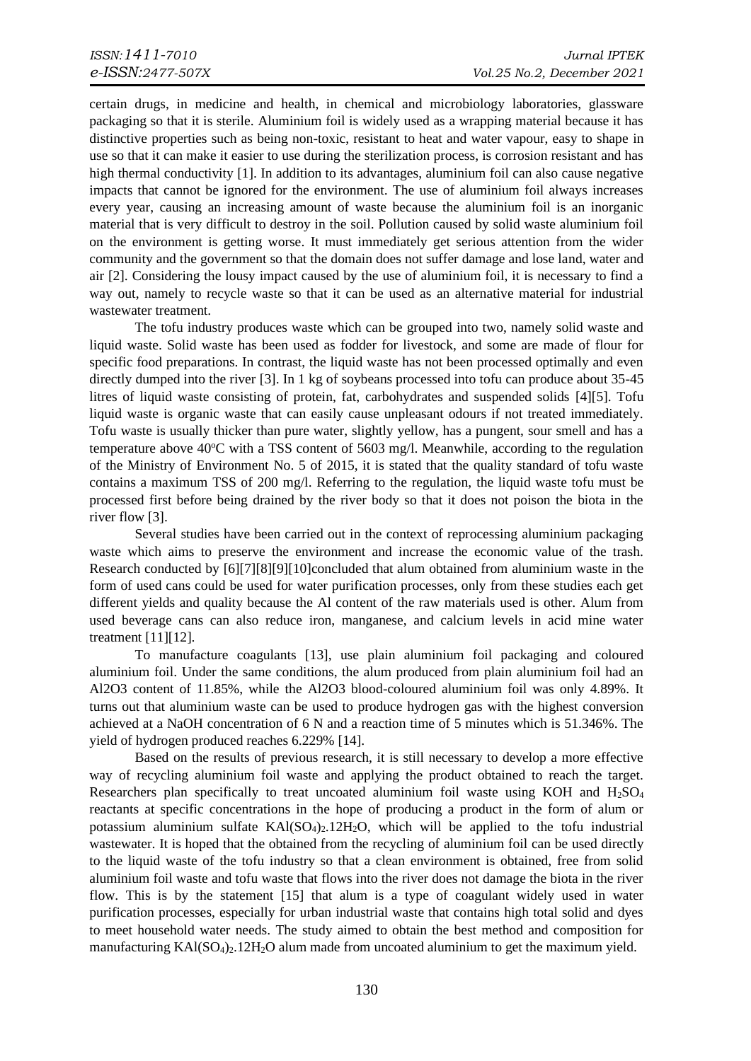certain drugs, in medicine and health, in chemical and microbiology laboratories, glassware packaging so that it is sterile. Aluminium foil is widely used as a wrapping material because it has distinctive properties such as being non-toxic, resistant to heat and water vapour, easy to shape in use so that it can make it easier to use during the sterilization process, is corrosion resistant and has high thermal conductivity [\[1\].](#page-7-0) In addition to its advantages, aluminium foil can also cause negative impacts that cannot be ignored for the environment. The use of aluminium foil always increases every year, causing an increasing amount of waste because the aluminium foil is an inorganic material that is very difficult to destroy in the soil. Pollution caused by solid waste aluminium foil on the environment is getting worse. It must immediately get serious attention from the wider community and the government so that the domain does not suffer damage and lose land, water and air [\[2\].](#page-7-1) Considering the lousy impact caused by the use of aluminium foil, it is necessary to find a way out, namely to recycle waste so that it can be used as an alternative material for industrial wastewater treatment.

The tofu industry produces waste which can be grouped into two, namely solid waste and liquid waste. Solid waste has been used as fodder for livestock, and some are made of flour for specific food preparations. In contrast, the liquid waste has not been processed optimally and even directly dumped into the river [\[3\].](#page-7-2) In 1 kg of soybeans processed into tofu can produce about 35-45 litres of liquid waste consisting of protein, fat, carbohydrates and suspended solids [\[4\]](#page-7-3)[\[5\].](#page-7-4) Tofu liquid waste is organic waste that can easily cause unpleasant odours if not treated immediately. Tofu waste is usually thicker than pure water, slightly yellow, has a pungent, sour smell and has a temperature above  $40^{\circ}$ C with a TSS content of 5603 mg/l. Meanwhile, according to the regulation of the Ministry of Environment No. 5 of 2015, it is stated that the quality standard of tofu waste contains a maximum TSS of 200 mg/l. Referring to the regulation, the liquid waste tofu must be processed first before being drained by the river body so that it does not poison the biota in the river flow [3].

Several studies have been carried out in the context of reprocessing aluminium packaging waste which aims to preserve the environment and increase the economic value of the trash. Research conducted by [\[6\]](#page-7-5)[\[7\]](#page-7-6)[\[8\]](#page-7-7)[\[9\]](#page-7-8)[\[10\]c](#page-7-9)oncluded that alum obtained from aluminium waste in the form of used cans could be used for water purification processes, only from these studies each get different yields and quality because the Al content of the raw materials used is other. Alum from used beverage cans can also reduce iron, manganese, and calcium levels in acid mine water treatment  $[11][12]$ .

To manufacture coagulants [\[13\],](#page-7-12) use plain aluminium foil packaging and coloured aluminium foil. Under the same conditions, the alum produced from plain aluminium foil had an Al2O3 content of 11.85%, while the Al2O3 blood-coloured aluminium foil was only 4.89%. It turns out that aluminium waste can be used to produce hydrogen gas with the highest conversion achieved at a NaOH concentration of 6 N and a reaction time of 5 minutes which is 51.346%. The yield of hydrogen produced reaches 6.229% [\[14\].](#page-7-13)

Based on the results of previous research, it is still necessary to develop a more effective way of recycling aluminium foil waste and applying the product obtained to reach the target. Researchers plan specifically to treat uncoated aluminium foil waste using KOH and  $H<sub>2</sub>SO<sub>4</sub>$ reactants at specific concentrations in the hope of producing a product in the form of alum or potassium aluminium sulfate  $KAI(SO<sub>4</sub>)<sub>2</sub>$ . 12H<sub>2</sub>O, which will be applied to the tofu industrial wastewater. It is hoped that the obtained from the recycling of aluminium foil can be used directly to the liquid waste of the tofu industry so that a clean environment is obtained, free from solid aluminium foil waste and tofu waste that flows into the river does not damage the biota in the river flow. This is by the statement [\[15\]](#page-7-14) that alum is a type of coagulant widely used in water purification processes, especially for urban industrial waste that contains high total solid and dyes to meet household water needs. The study aimed to obtain the best method and composition for manufacturing  $KAI(SO<sub>4</sub>)<sub>2</sub>12H<sub>2</sub>O$  alum made from uncoated aluminium to get the maximum yield.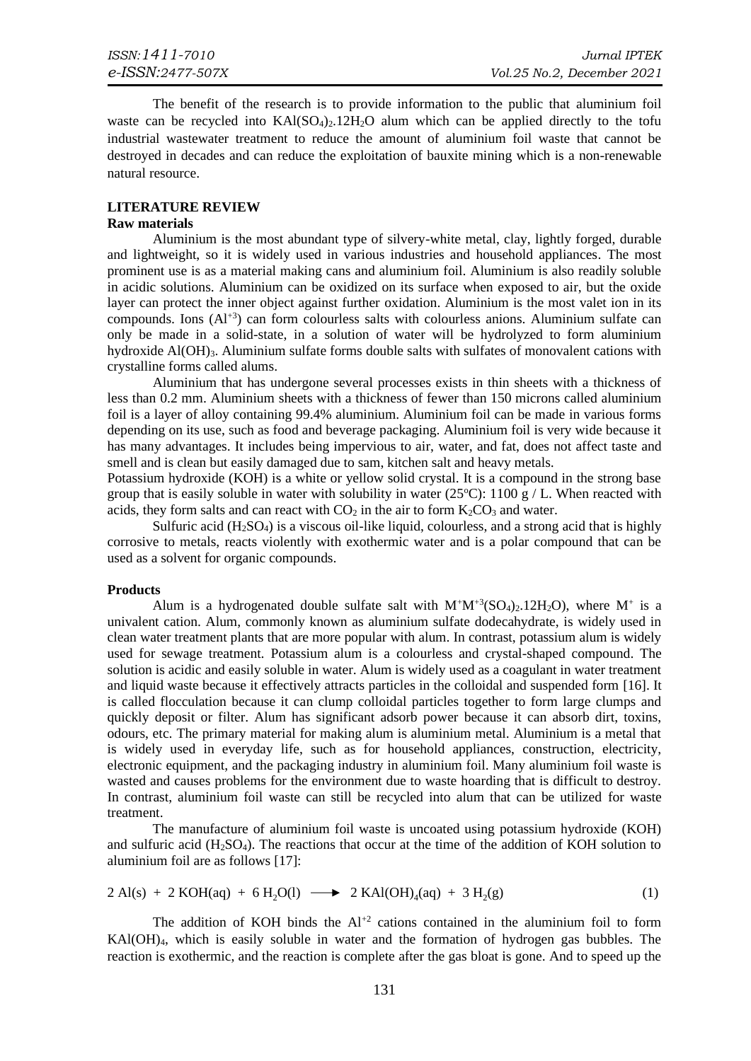The benefit of the research is to provide information to the public that aluminium foil waste can be recycled into  $KAI(SO<sub>4</sub>)<sub>2</sub>$ . 12H<sub>2</sub>O alum which can be applied directly to the tofu industrial wastewater treatment to reduce the amount of aluminium foil waste that cannot be destroyed in decades and can reduce the exploitation of bauxite mining which is a non-renewable natural resource.

# **LITERATURE REVIEW**

## **Raw materials**

Aluminium is the most abundant type of silvery-white metal, clay, lightly forged, durable and lightweight, so it is widely used in various industries and household appliances. The most prominent use is as a material making cans and aluminium foil. Aluminium is also readily soluble in acidic solutions. Aluminium can be oxidized on its surface when exposed to air, but the oxide layer can protect the inner object against further oxidation. Aluminium is the most valet ion in its compounds. Ions (Al+3) can form colourless salts with colourless anions. Aluminium sulfate can only be made in a solid-state, in a solution of water will be hydrolyzed to form aluminium hydroxide  $AI(OH)3$ . Aluminium sulfate forms double salts with sulfates of monovalent cations with crystalline forms called alums.

Aluminium that has undergone several processes exists in thin sheets with a thickness of less than 0.2 mm. Aluminium sheets with a thickness of fewer than 150 microns called aluminium foil is a layer of alloy containing 99.4% aluminium. Aluminium foil can be made in various forms depending on its use, such as food and beverage packaging. Aluminium foil is very wide because it has many advantages. It includes being impervious to air, water, and fat, does not affect taste and smell and is clean but easily damaged due to sam, kitchen salt and heavy metals.

Potassium hydroxide (KOH) is a white or yellow solid crystal. It is a compound in the strong base group that is easily soluble in water with solubility in water (25 $^{\circ}$ C): 1100 g / L. When reacted with acids, they form salts and can react with  $CO<sub>2</sub>$  in the air to form  $K<sub>2</sub>CO<sub>3</sub>$  and water.

Sulfuric acid  $(H_2SO_4)$  is a viscous oil-like liquid, colourless, and a strong acid that is highly corrosive to metals, reacts violently with exothermic water and is a polar compound that can be used as a solvent for organic compounds.

#### **Products**

Alum is a hydrogenated double sulfate salt with  $M^+M^{+3}(SO_4)_2.12H_2O$ , where  $M^+$  is a univalent cation. Alum, commonly known as aluminium sulfate dodecahydrate, is widely used in clean water treatment plants that are more popular with alum. In contrast, potassium alum is widely used for sewage treatment. Potassium alum is a colourless and crystal-shaped compound. The solution is acidic and easily soluble in water. Alum is widely used as a coagulant in water treatment and liquid waste because it effectively attracts particles in the colloidal and suspended form [\[16\].](#page-7-15) It is called flocculation because it can clump colloidal particles together to form large clumps and quickly deposit or filter. Alum has significant adsorb power because it can absorb dirt, toxins, odours, etc. The primary material for making alum is aluminium metal. Aluminium is a metal that is widely used in everyday life, such as for household appliances, construction, electricity, electronic equipment, and the packaging industry in aluminium foil. Many aluminium foil waste is wasted and causes problems for the environment due to waste hoarding that is difficult to destroy. In contrast, aluminium foil waste can still be recycled into alum that can be utilized for waste treatment.

 The manufacture of aluminium foil waste is uncoated using potassium hydroxide (KOH) and sulfuric acid  $(H_2SO_4)$ . The reactions that occur at the time of the addition of KOH solution to aluminium foil are as follows [\[17\]:](#page-7-16)

$$
2 \text{ Al}(s) + 2 \text{ KOH}(aq) + 6 \text{ H}_2\text{O}(l) \longrightarrow 2 \text{ KAl}(\text{OH})_4(aq) + 3 \text{ H}_2(g) \tag{1}
$$

The addition of KOH binds the  $Al^{+2}$  cations contained in the aluminium foil to form KAl(OH)4, which is easily soluble in water and the formation of hydrogen gas bubbles. The reaction is exothermic, and the reaction is complete after the gas bloat is gone. And to speed up the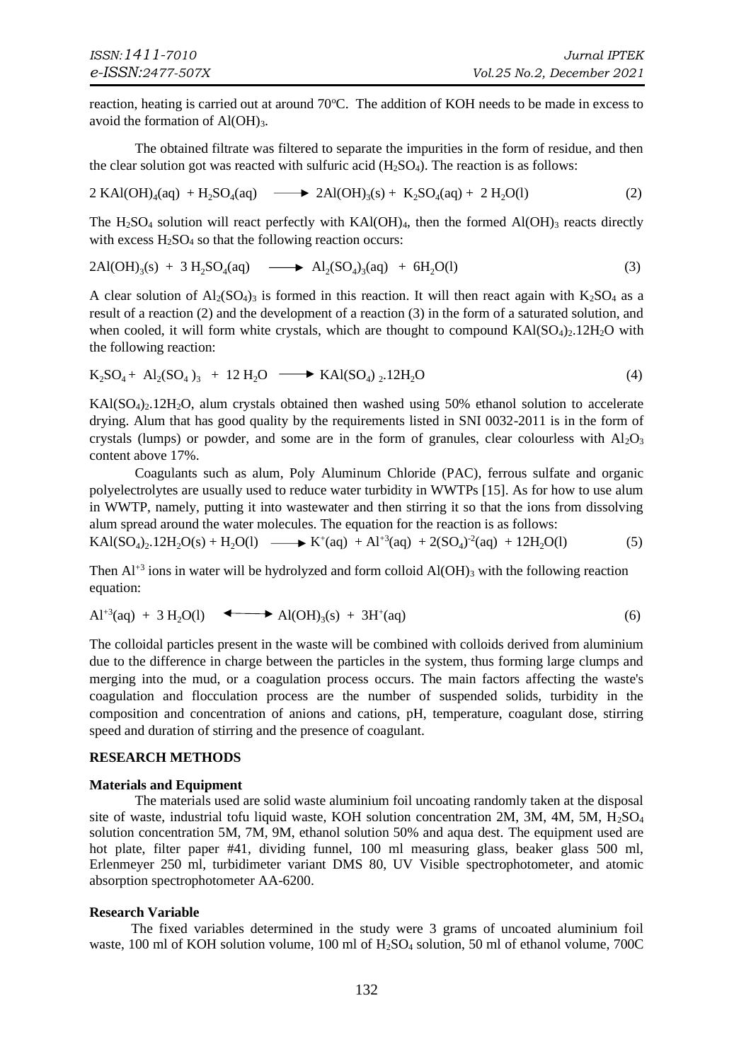reaction, heating is carried out at around 70°C. The addition of KOH needs to be made in excess to avoid the formation of  $AI(OH)_{3}$ .

The obtained filtrate was filtered to separate the impurities in the form of residue, and then the clear solution got was reacted with sulfuric acid  $(H_2SO_4)$ . The reaction is as follows:

$$
2 \text{ KAl(OH)}_{4}(aq) + H_{2}SO_{4}(aq) \longrightarrow 2 \text{Al(OH)}_{3}(s) + K_{2}SO_{4}(aq) + 2 H_{2}O(l) \tag{2}
$$

The H<sub>2</sub>SO<sub>4</sub> solution will react perfectly with KAl(OH)<sub>4</sub>, then the formed Al(OH)<sub>3</sub> reacts directly with excess  $H_2SO_4$  so that the following reaction occurs:

$$
2\text{Al(OH)}_{3}(s) + 3 H_{2} \text{SO}_{4}(aq) \longrightarrow \text{Al}_{2}(SO_{4})_{3}(aq) + 6H_{2}\text{O}(l)
$$
\n(3)

A clear solution of  $Al_2(SO_4)$ <sub>3</sub> is formed in this reaction. It will then react again with K<sub>2</sub>SO<sub>4</sub> as a result of a reaction (2) and the development of a reaction (3) in the form of a saturated solution, and when cooled, it will form white crystals, which are thought to compound  $KAI(SO<sub>4</sub>)<sub>2</sub>12H<sub>2</sub>O$  with the following reaction:

$$
K_2SO_4 + Al_2(SO_4)_3 + 12 H_2O \longrightarrow KAl(SO_4)_{2}.12H_2O \tag{4}
$$

KAl(SO<sub>4</sub>)<sub>2</sub>.12H<sub>2</sub>O, alum crystals obtained then washed using 50% ethanol solution to accelerate drying. Alum that has good quality by the requirements listed in SNI 0032-2011 is in the form of crystals (lumps) or powder, and some are in the form of granules, clear colourless with  $A_1 \cdot Q_3$ content above 17%.

Coagulants such as alum, Poly Aluminum Chloride (PAC), ferrous sulfate and organic polyelectrolytes are usually used to reduce water turbidity in WWTPs [15]. As for how to use alum in WWTP, namely, putting it into wastewater and then stirring it so that the ions from dissolving alum spread around the water molecules. The equation for the reaction is as follows:

$$
KAI(SO4)2.12H2O(s) + H2O(l) \longrightarrow K+(aq) + Al+3(aq) + 2(SO4)-2(aq) + 12H2O(l)
$$
 (5)

Then  $Al^{+3}$  ions in water will be hydrolyzed and form colloid  $Al(OH)_{3}$  with the following reaction equation:

$$
Al^{+3}(aq) + 3 H2O(l) \longrightarrow Al(OH)3(s) + 3H+(aq)
$$
 (6)

The colloidal particles present in the waste will be combined with colloids derived from aluminium due to the difference in charge between the particles in the system, thus forming large clumps and merging into the mud, or a coagulation process occurs. The main factors affecting the waste's coagulation and flocculation process are the number of suspended solids, turbidity in the composition and concentration of anions and cations, pH, temperature, coagulant dose, stirring speed and duration of stirring and the presence of coagulant.

# **RESEARCH METHODS**

# **Materials and Equipment**

The materials used are solid waste aluminium foil uncoating randomly taken at the disposal site of waste, industrial tofu liquid waste, KOH solution concentration 2M, 3M, 4M, 5M,  $H_2SO_4$ solution concentration 5M, 7M, 9M, ethanol solution 50% and aqua dest. The equipment used are hot plate, filter paper #41, dividing funnel, 100 ml measuring glass, beaker glass 500 ml, Erlenmeyer 250 ml, turbidimeter variant DMS 80, UV Visible spectrophotometer, and atomic absorption spectrophotometer AA-6200.

# **Research Variable**

 The fixed variables determined in the study were 3 grams of uncoated aluminium foil waste, 100 ml of KOH solution volume, 100 ml of H<sub>2</sub>SO<sub>4</sub> solution, 50 ml of ethanol volume, 700C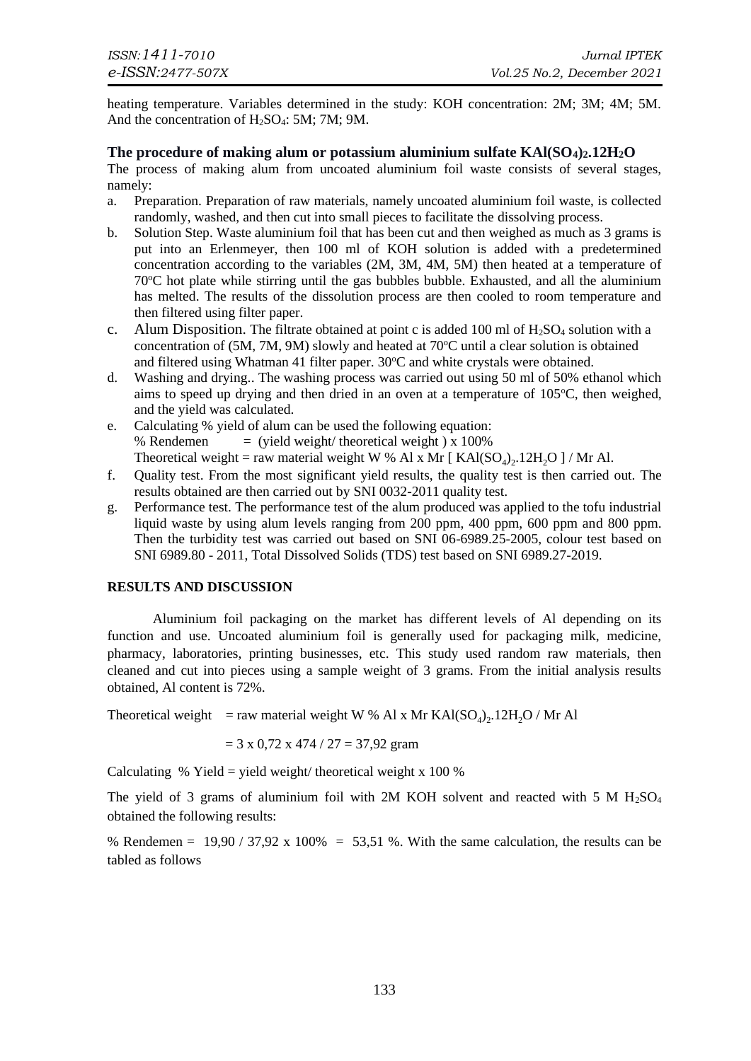heating temperature. Variables determined in the study: KOH concentration: 2M; 3M; 4M; 5M. And the concentration of  $H_2SO_4$ : 5M; 7M; 9M.

# **The procedure of making alum or potassium aluminium sulfate KAl(SO4)2.12H2O**

The process of making alum from uncoated aluminium foil waste consists of several stages, namely:

- a. Preparation. Preparation of raw materials, namely uncoated aluminium foil waste, is collected randomly, washed, and then cut into small pieces to facilitate the dissolving process.
- b. Solution Step. Waste aluminium foil that has been cut and then weighed as much as 3 grams is put into an Erlenmeyer, then 100 ml of KOH solution is added with a predetermined concentration according to the variables (2M, 3M, 4M, 5M) then heated at a temperature of 70<sup>o</sup>C hot plate while stirring until the gas bubbles bubble. Exhausted, and all the aluminium has melted. The results of the dissolution process are then cooled to room temperature and then filtered using filter paper.
- c. Alum Disposition. The filtrate obtained at point c is added 100 ml of  $H_2SO_4$  solution with a concentration of  $(5M, 7M, 9M)$  slowly and heated at  $70^{\circ}$ C until a clear solution is obtained and filtered using Whatman 41 filter paper.  $30^{\circ}$ C and white crystals were obtained.
- d. Washing and drying.. The washing process was carried out using 50 ml of 50% ethanol which aims to speed up drying and then dried in an oven at a temperature of  $105^{\circ}$ C, then weighed, and the yield was calculated.
- e. Calculating % yield of alum can be used the following equation: % Rendemen  $=$  (yield weight/ theoretical weight) x 100% Theoretical weight = raw material weight W % Al x Mr [ $\text{KAl(SO}_4)_2.12\text{H}_2\text{O}$ ] / Mr Al.
- f. Quality test. From the most significant yield results, the quality test is then carried out. The results obtained are then carried out by SNI 0032-2011 quality test.
- g. Performance test. The performance test of the alum produced was applied to the tofu industrial liquid waste by using alum levels ranging from 200 ppm, 400 ppm, 600 ppm and 800 ppm. Then the turbidity test was carried out based on SNI 06-6989.25-2005, colour test based on SNI 6989.80 - 2011, Total Dissolved Solids (TDS) test based on SNI 6989.27-2019.

# **RESULTS AND DISCUSSION**

Aluminium foil packaging on the market has different levels of Al depending on its function and use. Uncoated aluminium foil is generally used for packaging milk, medicine, pharmacy, laboratories, printing businesses, etc. This study used random raw materials, then cleaned and cut into pieces using a sample weight of 3 grams. From the initial analysis results obtained, Al content is 72%.

Theoretical weight = raw material weight W % Al x Mr  $\text{KAl}(\text{SO}_4)_2$ . 12H<sub>2</sub>O / Mr Al

$$
= 3 \times 0.72 \times 474 / 27 = 37.92
$$
 gram

Calculating % Yield = yield weight/ theoretical weight x 100 %

The yield of 3 grams of aluminium foil with 2M KOH solvent and reacted with 5 M  $H<sub>2</sub>SO<sub>4</sub>$ obtained the following results:

% Rendemen =  $19,90 / 37,92 \times 100\% = 53,51\%$ . With the same calculation, the results can be tabled as follows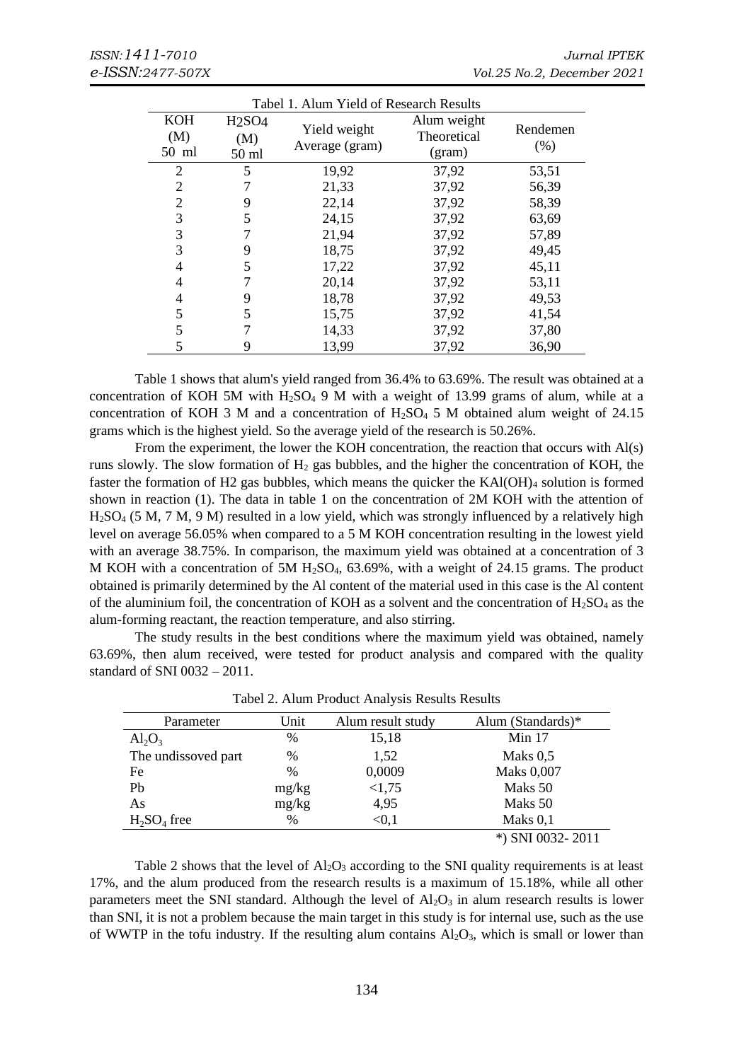| Tabel 1. Alum Yield of Research Results |                                |                |             |          |  |  |  |  |  |
|-----------------------------------------|--------------------------------|----------------|-------------|----------|--|--|--|--|--|
| <b>KOH</b>                              | H <sub>2</sub> SO <sub>4</sub> | Yield weight   | Alum weight | Rendemen |  |  |  |  |  |
| (M)                                     | (M)                            | Average (gram) | Theoretical | (% )     |  |  |  |  |  |
| 50 ml                                   | 50 ml                          |                | (gram)      |          |  |  |  |  |  |
| 2                                       | 5                              | 19,92          | 37,92       | 53,51    |  |  |  |  |  |
| 2                                       |                                | 21,33          | 37,92       | 56,39    |  |  |  |  |  |
| 2                                       | 9                              | 22,14          | 37,92       | 58,39    |  |  |  |  |  |
| 3                                       | 5                              | 24,15          | 37,92       | 63,69    |  |  |  |  |  |
| 3                                       |                                | 21,94          | 37,92       | 57,89    |  |  |  |  |  |
| 3                                       | 9                              | 18,75          | 37,92       | 49,45    |  |  |  |  |  |
| 4                                       | 5                              | 17,22          | 37,92       | 45,11    |  |  |  |  |  |
| 4                                       |                                | 20,14          | 37,92       | 53,11    |  |  |  |  |  |
| 4                                       | 9                              | 18,78          | 37,92       | 49,53    |  |  |  |  |  |
| 5                                       | 5                              | 15,75          | 37,92       | 41,54    |  |  |  |  |  |
| 5                                       |                                | 14,33          | 37,92       | 37,80    |  |  |  |  |  |
| 5                                       | 9                              | 13,99          | 37,92       | 36,90    |  |  |  |  |  |

Table 1 shows that alum's yield ranged from 36.4% to 63.69%. The result was obtained at a concentration of KOH 5M with  $H_2SO_4$  9 M with a weight of 13.99 grams of alum, while at a concentration of KOH 3 M and a concentration of  $H<sub>2</sub>SO<sub>4</sub> 5 M$  obtained alum weight of 24.15 grams which is the highest yield. So the average yield of the research is 50.26%.

From the experiment, the lower the KOH concentration, the reaction that occurs with Al(s) runs slowly. The slow formation of  $H_2$  gas bubbles, and the higher the concentration of KOH, the faster the formation of H2 gas bubbles, which means the quicker the KAl(OH)<sup>4</sup> solution is formed shown in reaction (1). The data in table 1 on the concentration of 2M KOH with the attention of H2SO<sup>4</sup> (5 M, 7 M, 9 M) resulted in a low yield, which was strongly influenced by a relatively high level on average 56.05% when compared to a 5 M KOH concentration resulting in the lowest yield with an average 38.75%. In comparison, the maximum yield was obtained at a concentration of 3 M KOH with a concentration of 5M  $H<sub>2</sub>SO<sub>4</sub>$ , 63.69%, with a weight of 24.15 grams. The product obtained is primarily determined by the Al content of the material used in this case is the Al content of the aluminium foil, the concentration of KOH as a solvent and the concentration of  $H_2SO_4$  as the alum-forming reactant, the reaction temperature, and also stirring.

The study results in the best conditions where the maximum yield was obtained, namely 63.69%, then alum received, were tested for product analysis and compared with the quality standard of SNI 0032 – 2011.

| Parameter               | Unit  | Alum result study | Alum (Standards)* |
|-------------------------|-------|-------------------|-------------------|
| $\text{Al}_2\text{O}_3$ | $\%$  | 15,18             | Min $17$          |
| The undissoved part     | $\%$  | 1,52              | Maks $0.5$        |
| Fe                      | $\%$  | 0,0009            | <b>Maks 0,007</b> |
| Pb                      | mg/kg | <1,75             | Maks 50           |
| As                      | mg/kg | 4,95              | Maks 50           |
| $H_2SO_4$ free          | $\%$  | < 0.1             | Maks $0,1$        |
|                         |       |                   | *) SNI 0032-2011  |

Tabel 2. Alum Product Analysis Results Results

Table 2 shows that the level of  $A<sub>2</sub>O<sub>3</sub>$  according to the SNI quality requirements is at least 17%, and the alum produced from the research results is a maximum of 15.18%, while all other parameters meet the SNI standard. Although the level of  $A_2O_3$  in alum research results is lower than SNI, it is not a problem because the main target in this study is for internal use, such as the use of WWTP in the tofu industry. If the resulting alum contains  $Al_2O_3$ , which is small or lower than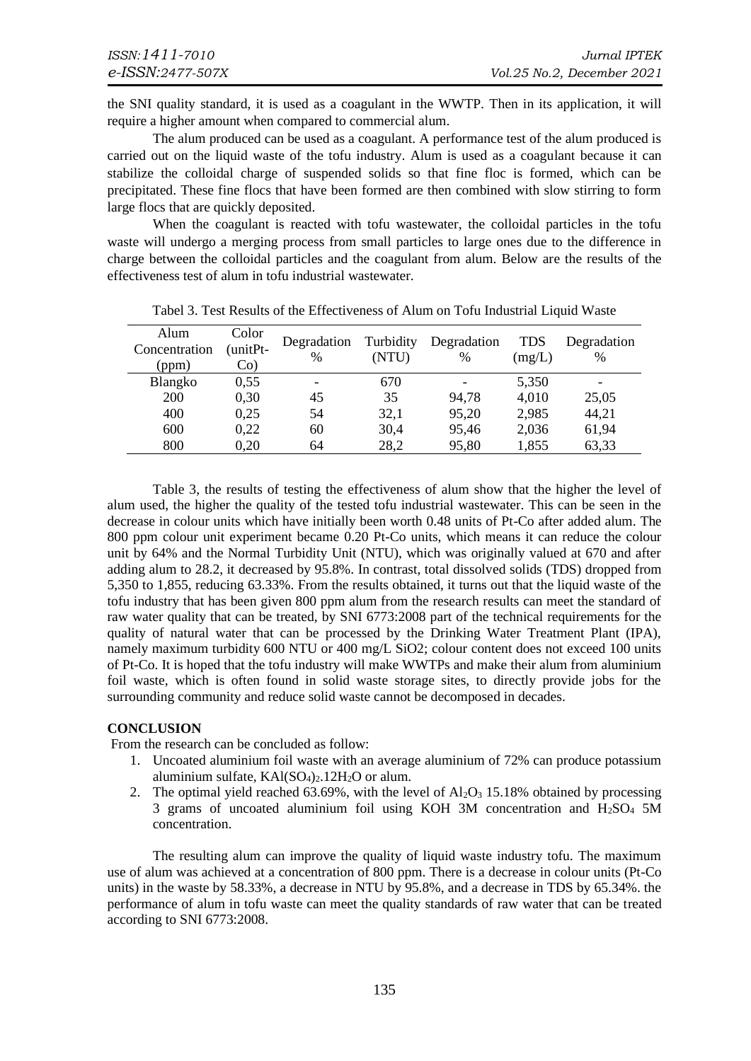the SNI quality standard, it is used as a coagulant in the WWTP. Then in its application, it will require a higher amount when compared to commercial alum.

The alum produced can be used as a coagulant. A performance test of the alum produced is carried out on the liquid waste of the tofu industry. Alum is used as a coagulant because it can stabilize the colloidal charge of suspended solids so that fine floc is formed, which can be precipitated. These fine flocs that have been formed are then combined with slow stirring to form large flocs that are quickly deposited.

When the coagulant is reacted with tofu wastewater, the colloidal particles in the tofu waste will undergo a merging process from small particles to large ones due to the difference in charge between the colloidal particles and the coagulant from alum. Below are the results of the effectiveness test of alum in tofu industrial wastewater.

| Alum<br>Concentration<br>(ppm) | Color<br>(unitPt-<br>$Co$ ) | Degradation<br>% | Turbidity<br>(NTU) | Degradation<br>$\%$ | <b>TDS</b><br>(mg/L) | Degradation<br>$\%$      |
|--------------------------------|-----------------------------|------------------|--------------------|---------------------|----------------------|--------------------------|
| Blangko                        | 0,55                        | -                | 670                |                     | 5,350                | $\overline{\phantom{a}}$ |
| <b>200</b>                     | 0,30                        | 45               | 35                 | 94,78               | 4,010                | 25,05                    |
| 400                            | 0,25                        | 54               | 32,1               | 95,20               | 2,985                | 44,21                    |
| 600                            | 0.22                        | 60               | 30,4               | 95,46               | 2,036                | 61,94                    |
| 800                            | 0,20                        | 64               | 28,2               | 95,80               | 1,855                | 63,33                    |

Tabel 3. Test Results of the Effectiveness of Alum on Tofu Industrial Liquid Waste

Table 3, the results of testing the effectiveness of alum show that the higher the level of alum used, the higher the quality of the tested tofu industrial wastewater. This can be seen in the decrease in colour units which have initially been worth 0.48 units of Pt-Co after added alum. The 800 ppm colour unit experiment became 0.20 Pt-Co units, which means it can reduce the colour unit by 64% and the Normal Turbidity Unit (NTU), which was originally valued at 670 and after adding alum to 28.2, it decreased by 95.8%. In contrast, total dissolved solids (TDS) dropped from 5,350 to 1,855, reducing 63.33%. From the results obtained, it turns out that the liquid waste of the tofu industry that has been given 800 ppm alum from the research results can meet the standard of raw water quality that can be treated, by SNI 6773:2008 part of the technical requirements for the quality of natural water that can be processed by the Drinking Water Treatment Plant (IPA), namely maximum turbidity 600 NTU or 400 mg/L SiO2; colour content does not exceed 100 units of Pt-Co. It is hoped that the tofu industry will make WWTPs and make their alum from aluminium foil waste, which is often found in solid waste storage sites, to directly provide jobs for the surrounding community and reduce solid waste cannot be decomposed in decades.

# **CONCLUSION**

From the research can be concluded as follow:

- 1. Uncoated aluminium foil waste with an average aluminium of 72% can produce potassium aluminium sulfate,  $KAI(SO<sub>4</sub>)<sub>2</sub>$ .12H<sub>2</sub>O or alum.
- 2. The optimal yield reached 63.69%, with the level of  $Al_2O_3$  15.18% obtained by processing 3 grams of uncoated aluminium foil using KOH 3M concentration and  $H<sub>2</sub>SO<sub>4</sub> 5M$ concentration.

The resulting alum can improve the quality of liquid waste industry tofu. The maximum use of alum was achieved at a concentration of 800 ppm. There is a decrease in colour units (Pt-Co units) in the waste by 58.33%, a decrease in NTU by 95.8%, and a decrease in TDS by 65.34%. the performance of alum in tofu waste can meet the quality standards of raw water that can be treated according to SNI 6773:2008.